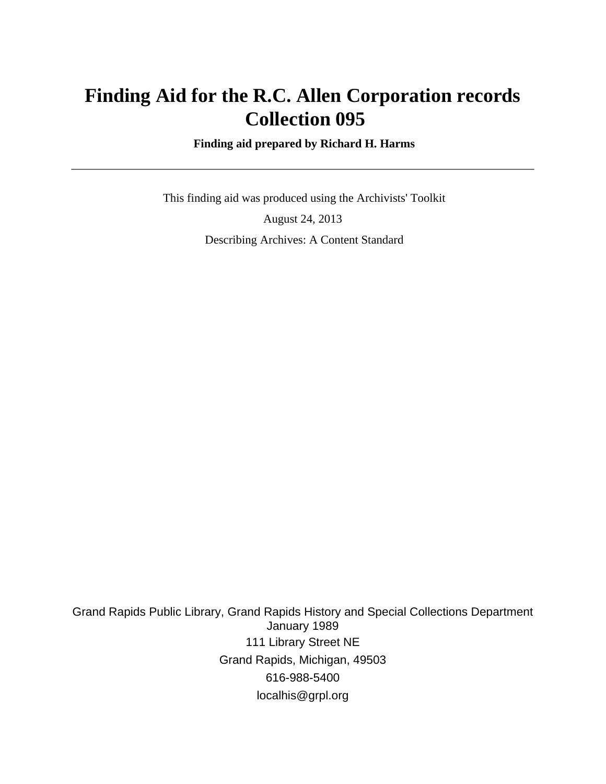# **Finding Aid for the R.C. Allen Corporation records Collection 095**

 **Finding aid prepared by Richard H. Harms**

 This finding aid was produced using the Archivists' Toolkit August 24, 2013 Describing Archives: A Content Standard

Grand Rapids Public Library, Grand Rapids History and Special Collections Department January 1989 111 Library Street NE Grand Rapids, Michigan, 49503 616-988-5400 localhis@grpl.org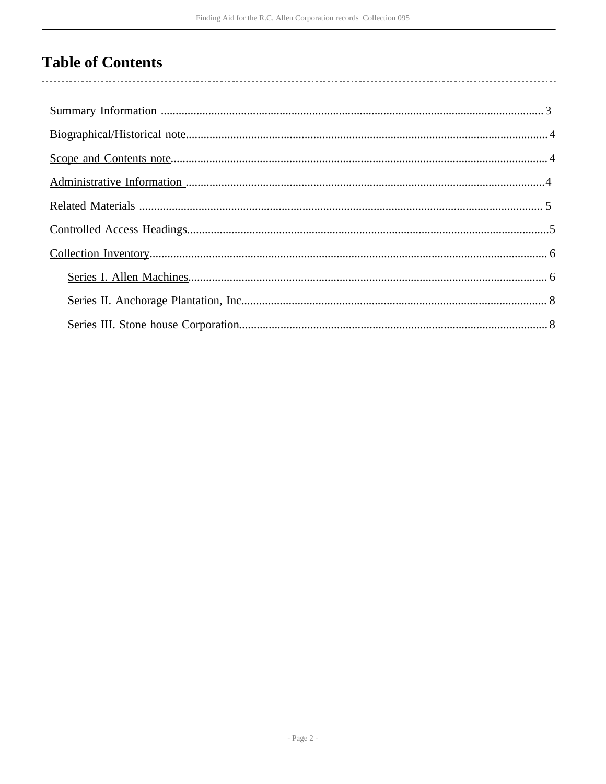# **Table of Contents**

 $\overline{\phantom{a}}$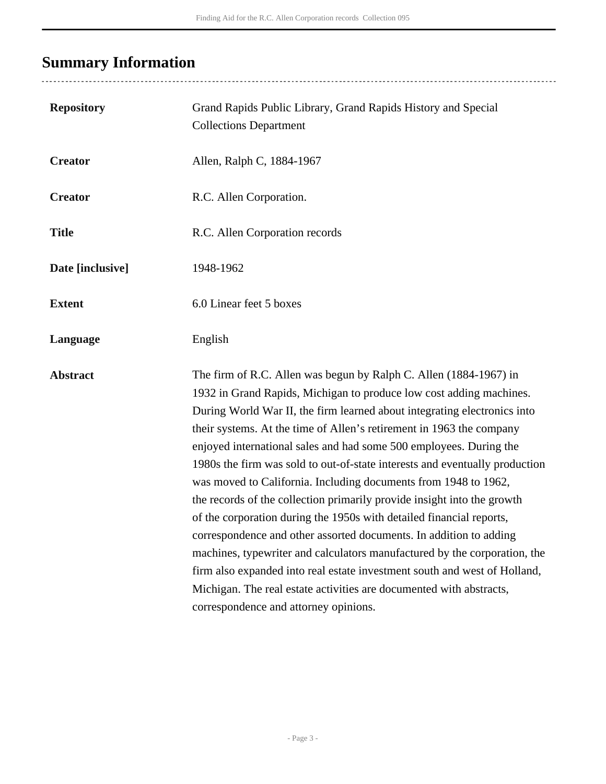# <span id="page-2-0"></span>**Summary Information**

| <b>Repository</b> | Grand Rapids Public Library, Grand Rapids History and Special<br><b>Collections Department</b>                                                                                                                                                                                                                                                                                                                                                                                                                                                                                                                                                                                                                                                                                                                                                                                                                                                                                                                          |
|-------------------|-------------------------------------------------------------------------------------------------------------------------------------------------------------------------------------------------------------------------------------------------------------------------------------------------------------------------------------------------------------------------------------------------------------------------------------------------------------------------------------------------------------------------------------------------------------------------------------------------------------------------------------------------------------------------------------------------------------------------------------------------------------------------------------------------------------------------------------------------------------------------------------------------------------------------------------------------------------------------------------------------------------------------|
| <b>Creator</b>    | Allen, Ralph C, 1884-1967                                                                                                                                                                                                                                                                                                                                                                                                                                                                                                                                                                                                                                                                                                                                                                                                                                                                                                                                                                                               |
| <b>Creator</b>    | R.C. Allen Corporation.                                                                                                                                                                                                                                                                                                                                                                                                                                                                                                                                                                                                                                                                                                                                                                                                                                                                                                                                                                                                 |
| <b>Title</b>      | R.C. Allen Corporation records                                                                                                                                                                                                                                                                                                                                                                                                                                                                                                                                                                                                                                                                                                                                                                                                                                                                                                                                                                                          |
| Date [inclusive]  | 1948-1962                                                                                                                                                                                                                                                                                                                                                                                                                                                                                                                                                                                                                                                                                                                                                                                                                                                                                                                                                                                                               |
| <b>Extent</b>     | 6.0 Linear feet 5 boxes                                                                                                                                                                                                                                                                                                                                                                                                                                                                                                                                                                                                                                                                                                                                                                                                                                                                                                                                                                                                 |
| Language          | English                                                                                                                                                                                                                                                                                                                                                                                                                                                                                                                                                                                                                                                                                                                                                                                                                                                                                                                                                                                                                 |
| <b>Abstract</b>   | The firm of R.C. Allen was begun by Ralph C. Allen (1884-1967) in<br>1932 in Grand Rapids, Michigan to produce low cost adding machines.<br>During World War II, the firm learned about integrating electronics into<br>their systems. At the time of Allen's retirement in 1963 the company<br>enjoyed international sales and had some 500 employees. During the<br>1980s the firm was sold to out-of-state interests and eventually production<br>was moved to California. Including documents from 1948 to 1962,<br>the records of the collection primarily provide insight into the growth<br>of the corporation during the 1950s with detailed financial reports,<br>correspondence and other assorted documents. In addition to adding<br>machines, typewriter and calculators manufactured by the corporation, the<br>firm also expanded into real estate investment south and west of Holland,<br>Michigan. The real estate activities are documented with abstracts,<br>correspondence and attorney opinions. |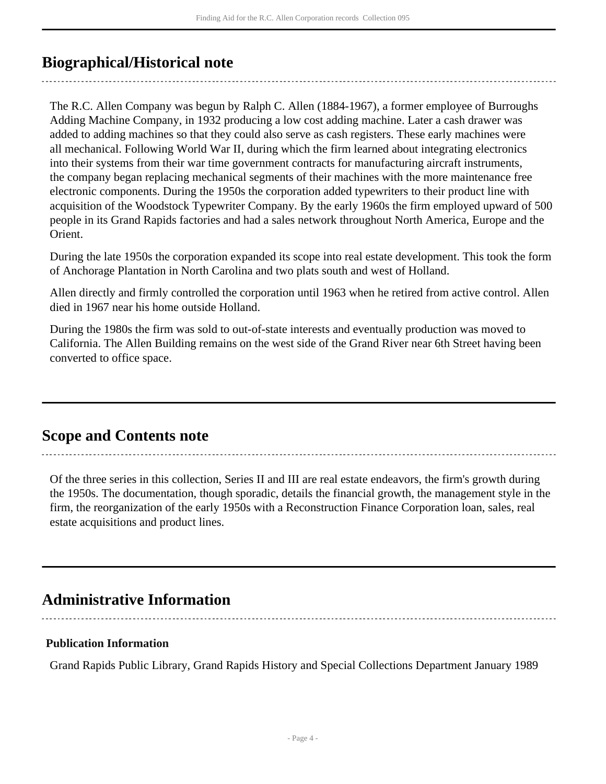## <span id="page-3-0"></span>**Biographical/Historical note**

The R.C. Allen Company was begun by Ralph C. Allen (1884-1967), a former employee of Burroughs Adding Machine Company, in 1932 producing a low cost adding machine. Later a cash drawer was added to adding machines so that they could also serve as cash registers. These early machines were all mechanical. Following World War II, during which the firm learned about integrating electronics into their systems from their war time government contracts for manufacturing aircraft instruments, the company began replacing mechanical segments of their machines with the more maintenance free electronic components. During the 1950s the corporation added typewriters to their product line with acquisition of the Woodstock Typewriter Company. By the early 1960s the firm employed upward of 500 people in its Grand Rapids factories and had a sales network throughout North America, Europe and the Orient.

During the late 1950s the corporation expanded its scope into real estate development. This took the form of Anchorage Plantation in North Carolina and two plats south and west of Holland.

Allen directly and firmly controlled the corporation until 1963 when he retired from active control. Allen died in 1967 near his home outside Holland.

During the 1980s the firm was sold to out-of-state interests and eventually production was moved to California. The Allen Building remains on the west side of the Grand River near 6th Street having been converted to office space.

## <span id="page-3-1"></span>**Scope and Contents note**

Of the three series in this collection, Series II and III are real estate endeavors, the firm's growth during the 1950s. The documentation, though sporadic, details the financial growth, the management style in the firm, the reorganization of the early 1950s with a Reconstruction Finance Corporation loan, sales, real estate acquisitions and product lines.

# <span id="page-3-2"></span>**Administrative Information**

### **Publication Information**

Grand Rapids Public Library, Grand Rapids History and Special Collections Department January 1989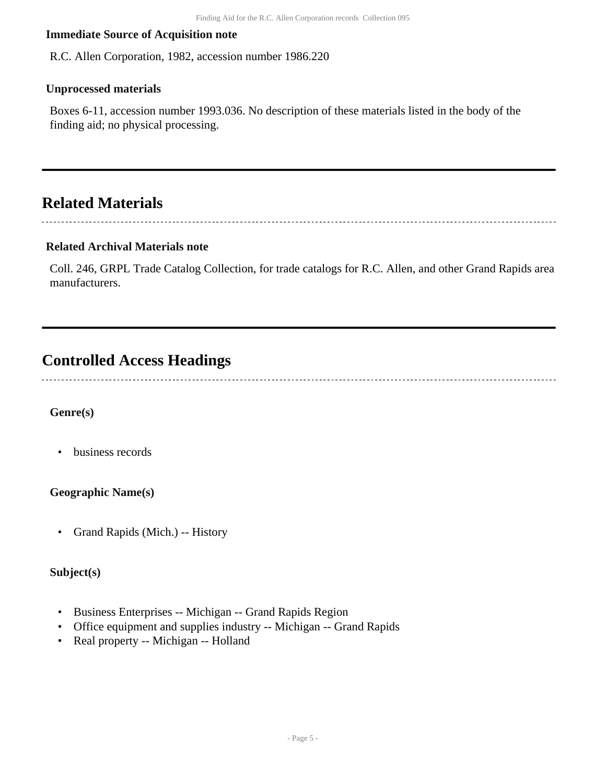#### **Immediate Source of Acquisition note**

R.C. Allen Corporation, 1982, accession number 1986.220

#### **Unprocessed materials**

Boxes 6-11, accession number 1993.036. No description of these materials listed in the body of the finding aid; no physical processing.

## <span id="page-4-0"></span>**Related Materials**

#### **Related Archival Materials note**

Coll. 246, GRPL Trade Catalog Collection, for trade catalogs for R.C. Allen, and other Grand Rapids area manufacturers.

## <span id="page-4-1"></span>**Controlled Access Headings**

### **Genre(s)**

• business records

#### **Geographic Name(s)**

• Grand Rapids (Mich.) -- History

### **Subject(s)**

- Business Enterprises -- Michigan -- Grand Rapids Region
- Office equipment and supplies industry -- Michigan -- Grand Rapids
- Real property -- Michigan -- Holland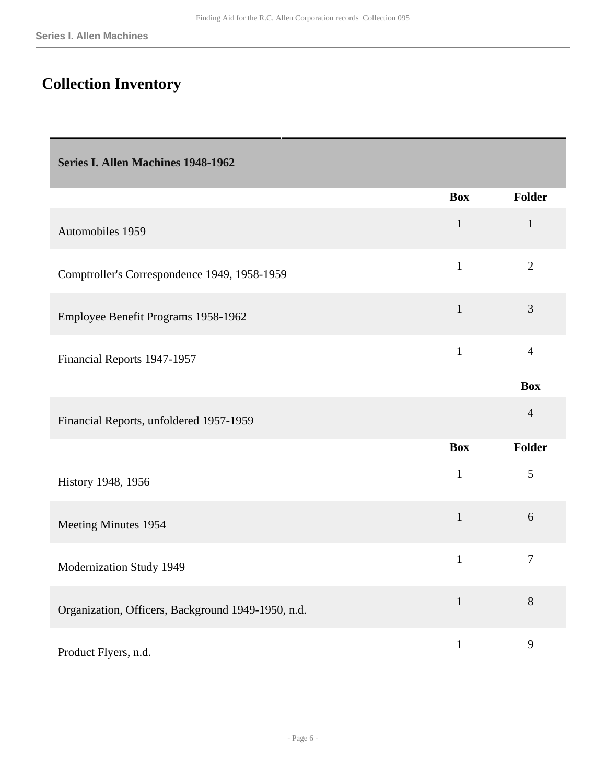# <span id="page-5-0"></span>**Collection Inventory**

<span id="page-5-1"></span>

| Series I. Allen Machines 1948-1962                 |              |                |
|----------------------------------------------------|--------------|----------------|
|                                                    | <b>Box</b>   | <b>Folder</b>  |
| Automobiles 1959                                   | $\mathbf{1}$ | $\mathbf{1}$   |
| Comptroller's Correspondence 1949, 1958-1959       | $\mathbf{1}$ | $\overline{2}$ |
| Employee Benefit Programs 1958-1962                | $\mathbf{1}$ | $\overline{3}$ |
| Financial Reports 1947-1957                        | $\mathbf{1}$ | $\overline{4}$ |
|                                                    |              | <b>Box</b>     |
| Financial Reports, unfoldered 1957-1959            |              | $\overline{4}$ |
|                                                    | <b>Box</b>   | <b>Folder</b>  |
| History 1948, 1956                                 | $\mathbf{1}$ | 5              |
| Meeting Minutes 1954                               | $\mathbf{1}$ | 6              |
| Modernization Study 1949                           | $\mathbf{1}$ | $\overline{7}$ |
| Organization, Officers, Background 1949-1950, n.d. | $\mathbf{1}$ | 8              |
| Product Flyers, n.d.                               | $\mathbf{1}$ | 9              |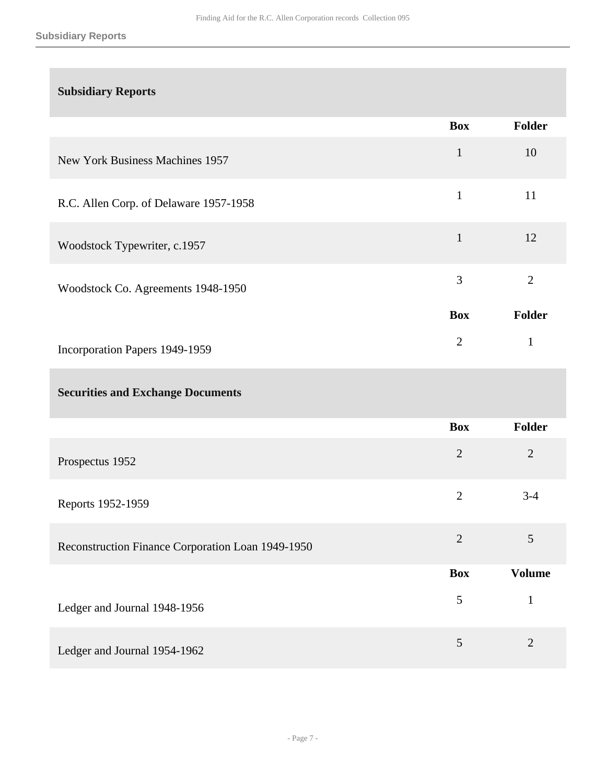### **Subsidiary Reports**

|                                        | <b>Box</b>     | <b>Folder</b>  |
|----------------------------------------|----------------|----------------|
| New York Business Machines 1957        | $\mathbf{1}$   | 10             |
| R.C. Allen Corp. of Delaware 1957-1958 | $\mathbf{1}$   | 11             |
| Woodstock Typewriter, c.1957           | $\mathbf{1}$   | 12             |
| Woodstock Co. Agreements 1948-1950     | 3              | $\overline{2}$ |
|                                        | <b>Box</b>     | <b>Folder</b>  |
| Incorporation Papers 1949-1959         | $\overline{2}$ | $\mathbf{1}$   |
|                                        |                |                |

### **Securities and Exchange Documents**

|                                                   | <b>Box</b>     | <b>Folder</b>  |
|---------------------------------------------------|----------------|----------------|
| Prospectus 1952                                   | $\overline{2}$ | $\overline{2}$ |
| Reports 1952-1959                                 | $\overline{2}$ | $3 - 4$        |
| Reconstruction Finance Corporation Loan 1949-1950 | $\overline{2}$ | 5              |
|                                                   | <b>Box</b>     | <b>Volume</b>  |
| Ledger and Journal 1948-1956                      | 5              | $\mathbf{1}$   |
| Ledger and Journal 1954-1962                      | 5              | $\overline{2}$ |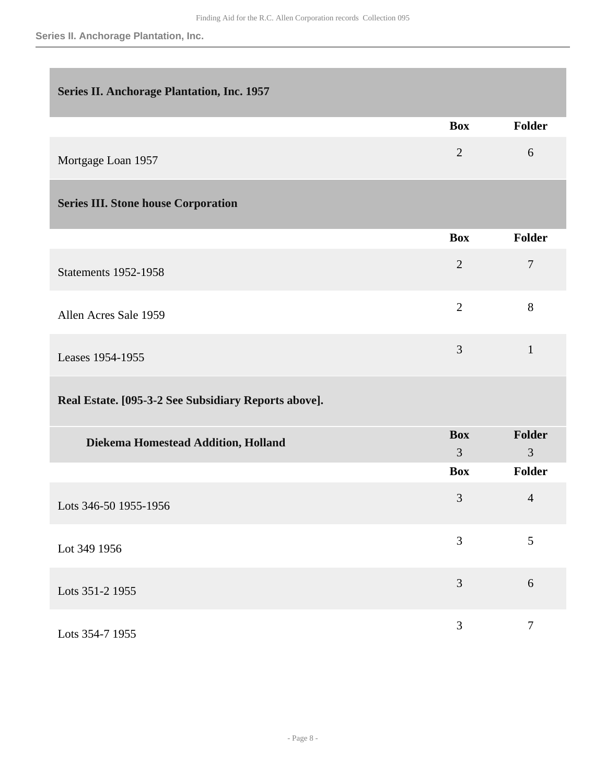### <span id="page-7-0"></span>**Series II. Anchorage Plantation, Inc. 1957**

<span id="page-7-1"></span>

|                                            | <b>Box</b>     | Folder         |
|--------------------------------------------|----------------|----------------|
| Mortgage Loan 1957                         | $\overline{2}$ | 6              |
| <b>Series III. Stone house Corporation</b> |                |                |
|                                            | <b>Box</b>     | Folder         |
| <b>Statements 1952-1958</b>                | $\overline{2}$ | $\overline{7}$ |
| Allen Acres Sale 1959                      | $\overline{2}$ | 8              |
| Leases 1954-1955                           | 3              | $\mathbf{1}$   |

### **Real Estate. [095-3-2 See Subsidiary Reports above].**

| Diekema Homestead Addition, Holland | <b>Box</b><br>3 | Folder<br>3 |
|-------------------------------------|-----------------|-------------|
|                                     | <b>Box</b>      | Folder      |
| Lots 346-50 1955-1956               | 3               | 4           |
| Lot 349 1956                        | 3               | 5           |
| Lots 351-2 1955                     | 3               | 6           |
| Lots 354-7 1955                     | 3               | 7           |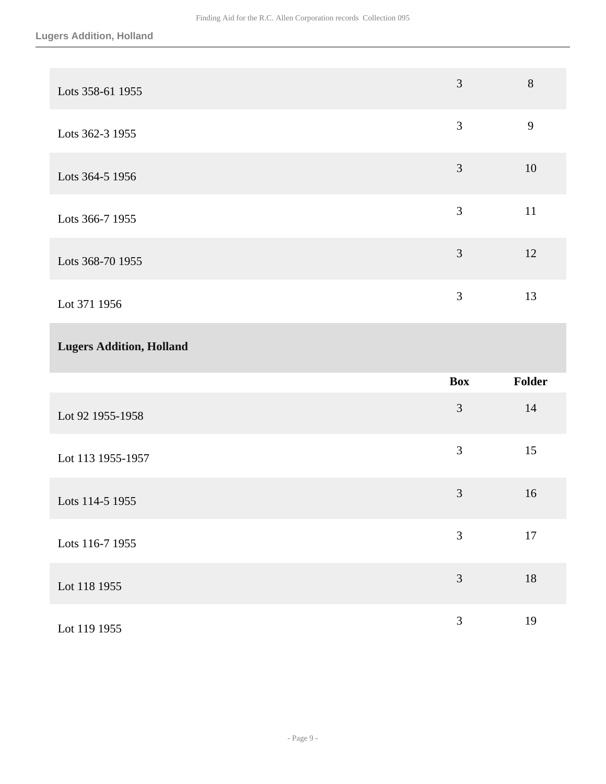| Lots 358-61 1955 | 3              | 8  |
|------------------|----------------|----|
| Lots 362-3 1955  | 3              | 9  |
| Lots 364-5 1956  | 3              | 10 |
| Lots 366-7 1955  | 3              | 11 |
| Lots 368-70 1955 | $\overline{3}$ | 12 |
| Lot 371 1956     | 3              | 13 |

### **Lugers Addition, Holland**

|                   | <b>Box</b> | Folder |
|-------------------|------------|--------|
| Lot 92 1955-1958  | 3          | 14     |
| Lot 113 1955-1957 | 3          | 15     |
| Lots 114-5 1955   | 3          | 16     |
| Lots 116-7 1955   | 3          | 17     |
| Lot 118 1955      | 3          | 18     |
| Lot 119 1955      | 3          | 19     |